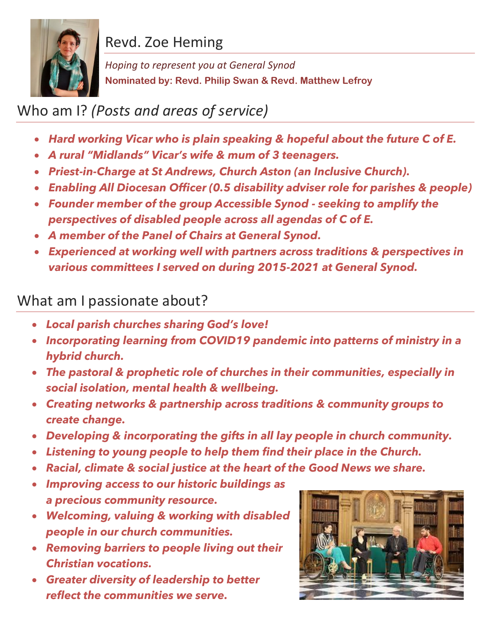

## Revd. Zoe Heming

*Hoping to represent you at General Synod* **Nominated by: Revd. Philip Swan & Revd. Matthew Lefroy**

## Who am I? *(Posts and areas of service)*

- *Hard working Vicar who is plain speaking & hopeful about the future C of E.*
- *A rural "Midlands" Vicar's wife & mum of 3 teenagers.*
- *Priest-in-Charge at St Andrews, Church Aston (an Inclusive Church).*
- *Enabling All Diocesan Officer (0.5 disability adviser role for parishes & people)*
- *Founder member of the group Accessible Synod - seeking to amplify the perspectives of disabled people across all agendas of C of E.*
- *A member of the Panel of Chairs at General Synod.*
- *Experienced at working well with partners across traditions & perspectives in various committees I served on during 2015-2021 at General Synod.*

## What am I passionate about?

- *Local parish churches sharing God's love!*
- *Incorporating learning from COVID19 pandemic into patterns of ministry in a hybrid church.*
- *The pastoral & prophetic role of churches in their communities, especially in social isolation, mental health & wellbeing.*
- *Creating networks & partnership across traditions & community groups to create change.*
- *Developing & incorporating the gifts in all lay people in church community.*
- *Listening to young people to help them find their place in the Church.*
- *Racial, climate & social justice at the heart of the Good News we share.*
- *Improving access to our historic buildings as a precious community resource.*
- *Welcoming, valuing & working with disabled people in our church communities.*
- *Removing barriers to people living out their Christian vocations.*
- *Greater diversity of leadership to better reflect the communities we serve.*